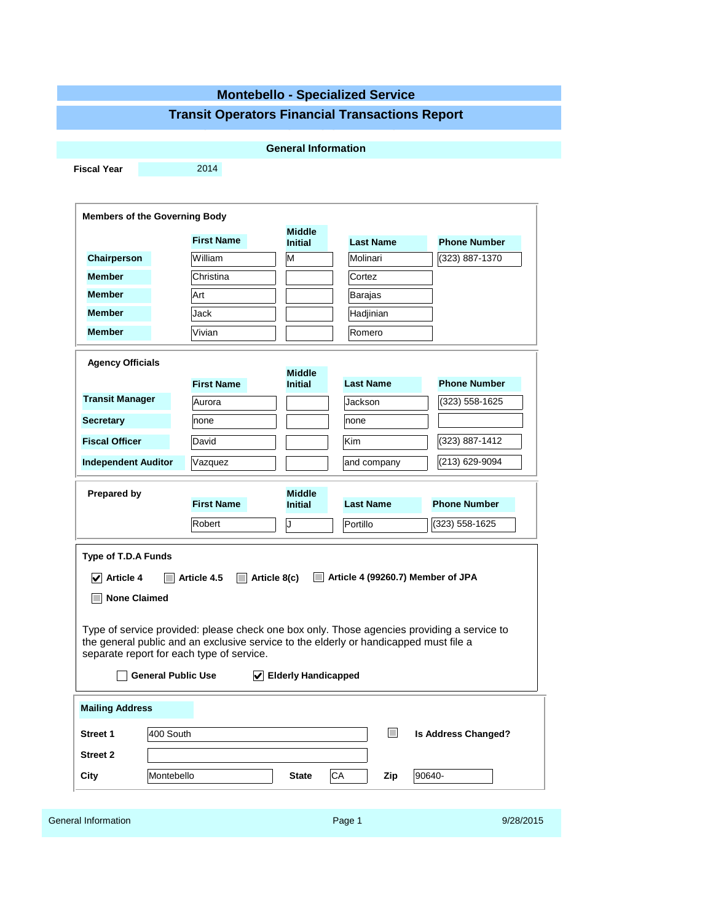# **Montebello - Specialized Service**

### **Transit Operators Financial Transactions Report**

|                                                                              |                                                                                                                                                                                                                                                                              | <b>General Information</b>                            |                                   |                            |
|------------------------------------------------------------------------------|------------------------------------------------------------------------------------------------------------------------------------------------------------------------------------------------------------------------------------------------------------------------------|-------------------------------------------------------|-----------------------------------|----------------------------|
| <b>Fiscal Year</b>                                                           | 2014                                                                                                                                                                                                                                                                         |                                                       |                                   |                            |
|                                                                              |                                                                                                                                                                                                                                                                              |                                                       |                                   |                            |
| <b>Members of the Governing Body</b>                                         |                                                                                                                                                                                                                                                                              |                                                       |                                   |                            |
|                                                                              |                                                                                                                                                                                                                                                                              | <b>Middle</b>                                         |                                   |                            |
|                                                                              | <b>First Name</b>                                                                                                                                                                                                                                                            | <b>Initial</b>                                        | <b>Last Name</b>                  | <b>Phone Number</b>        |
| Chairperson                                                                  | William                                                                                                                                                                                                                                                                      | M                                                     | Molinari                          | (323) 887-1370             |
| <b>Member</b>                                                                | Christina                                                                                                                                                                                                                                                                    |                                                       | Cortez                            |                            |
| <b>Member</b>                                                                | Art                                                                                                                                                                                                                                                                          |                                                       | Barajas                           |                            |
| <b>Member</b>                                                                | Jack                                                                                                                                                                                                                                                                         |                                                       | Hadjinian                         |                            |
| <b>Member</b>                                                                | Vivian                                                                                                                                                                                                                                                                       |                                                       | Romero                            |                            |
| <b>Agency Officials</b>                                                      |                                                                                                                                                                                                                                                                              |                                                       |                                   |                            |
|                                                                              | <b>First Name</b>                                                                                                                                                                                                                                                            | <b>Middle</b><br><b>Initial</b>                       | <b>Last Name</b>                  | <b>Phone Number</b>        |
| <b>Transit Manager</b>                                                       | Aurora                                                                                                                                                                                                                                                                       |                                                       | Jackson                           | (323) 558-1625             |
| <b>Secretary</b>                                                             | none                                                                                                                                                                                                                                                                         |                                                       | none                              |                            |
| <b>Fiscal Officer</b>                                                        | David                                                                                                                                                                                                                                                                        |                                                       | Kim                               | (323) 887-1412             |
| <b>Independent Auditor</b>                                                   | Vazquez                                                                                                                                                                                                                                                                      |                                                       | and company                       | (213) 629-9094             |
|                                                                              |                                                                                                                                                                                                                                                                              | <b>Middle</b>                                         |                                   |                            |
| <b>Prepared by</b>                                                           | <b>First Name</b>                                                                                                                                                                                                                                                            | <b>Initial</b>                                        | <b>Last Name</b>                  | <b>Phone Number</b>        |
|                                                                              | Robert                                                                                                                                                                                                                                                                       | J                                                     | Portillo                          | $(323) 558 - 1625$         |
| Type of T.D.A Funds<br>$\sqrt{\phantom{a}}$ Article 4<br><b>None Claimed</b> | Article 4.5<br>Type of service provided: please check one box only. Those agencies providing a service to<br>the general public and an exclusive service to the elderly or handicapped must file a<br>separate report for each type of service.<br><b>General Public Use</b> | Article 8(c)<br>$\mathbf{L}$<br>✔ Elderly Handicapped | Article 4 (99260.7) Member of JPA |                            |
|                                                                              |                                                                                                                                                                                                                                                                              |                                                       |                                   |                            |
|                                                                              |                                                                                                                                                                                                                                                                              |                                                       |                                   |                            |
|                                                                              | 400 South                                                                                                                                                                                                                                                                    |                                                       | $\mathcal{L}^{\mathcal{A}}$       | <b>Is Address Changed?</b> |
| <b>Mailing Address</b><br>Street 1<br><b>Street 2</b>                        |                                                                                                                                                                                                                                                                              |                                                       |                                   |                            |

| General Information | Page | 9/28/2015 |
|---------------------|------|-----------|
|                     |      |           |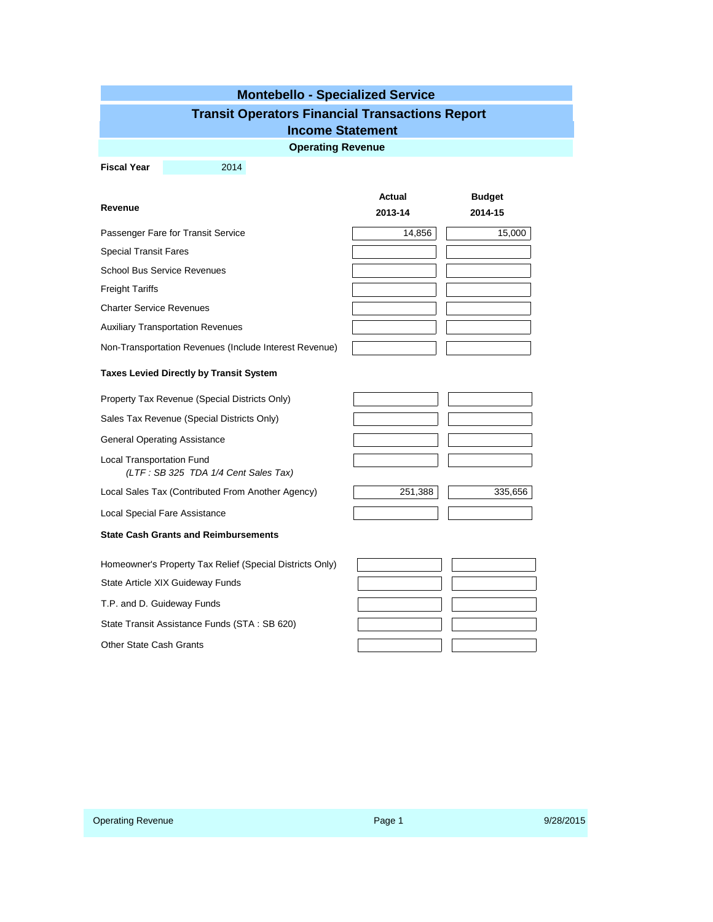|  | <b>Montebello - Specialized Service</b>                |  |
|--|--------------------------------------------------------|--|
|  | <b>Transit Operators Financial Transactions Report</b> |  |

## **Income Statement**

**Operating Revenue**

**Fiscal Year** 2014

|                                                        | <b>Actual</b> | <b>Budget</b> |  |
|--------------------------------------------------------|---------------|---------------|--|
| Revenue                                                | 2013-14       | 2014-15       |  |
| Passenger Fare for Transit Service                     | 14,856        | 15,000        |  |
| <b>Special Transit Fares</b>                           |               |               |  |
| <b>School Bus Service Revenues</b>                     |               |               |  |
| <b>Freight Tariffs</b>                                 |               |               |  |
| <b>Charter Service Revenues</b>                        |               |               |  |
| <b>Auxiliary Transportation Revenues</b>               |               |               |  |
| Non-Transportation Revenues (Include Interest Revenue) |               |               |  |

### **Taxes Levied Directly by Transit System**

Property Tax Revenue (Special Districts Only)

Sales Tax Revenue (Special Districts Only)

General Operating Assistance

Local Transportation Fund *(LTF : SB 325 TDA 1/4 Cent Sales Tax)*

Local Sales Tax (Contributed From Another Agency)

Local Special Fare Assistance

#### **State Cash Grants and Reimbursements**

Homeowner's Property Tax Relief (Special Districts Only)

State Article XIX Guideway Funds

T.P. and D. Guideway Funds

State Transit Assistance Funds (STA : SB 620)

Other State Cash Grants

| 251,388 | 335,656 |
|---------|---------|
|         |         |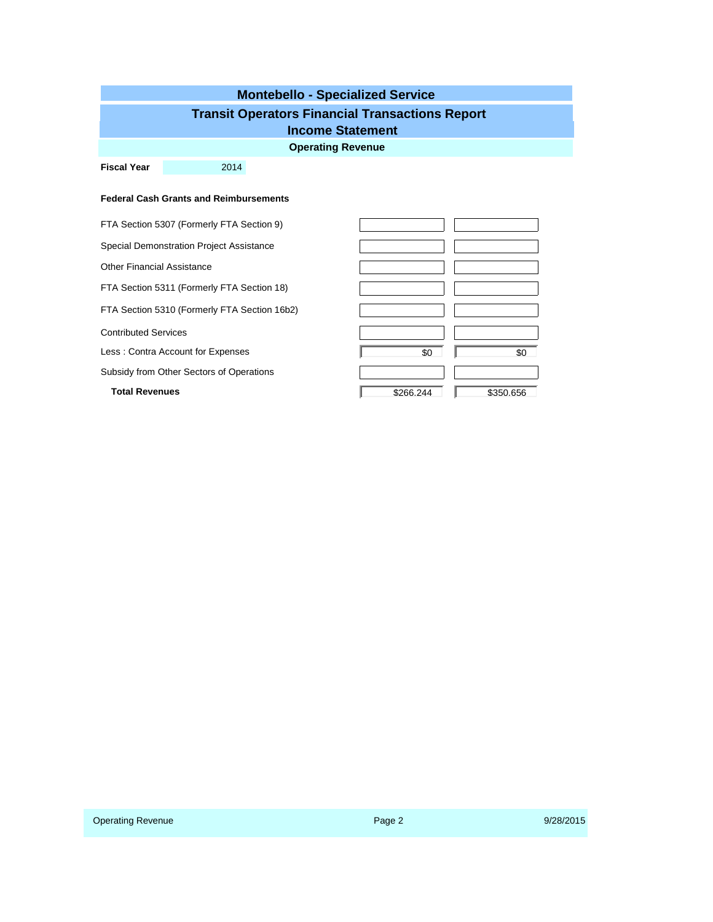| <b>Montebello - Specialized Service</b>                |                                               |           |           |  |  |  |  |  |
|--------------------------------------------------------|-----------------------------------------------|-----------|-----------|--|--|--|--|--|
| <b>Transit Operators Financial Transactions Report</b> |                                               |           |           |  |  |  |  |  |
| <b>Income Statement</b>                                |                                               |           |           |  |  |  |  |  |
| <b>Operating Revenue</b>                               |                                               |           |           |  |  |  |  |  |
| <b>Fiscal Year</b>                                     | 2014                                          |           |           |  |  |  |  |  |
|                                                        |                                               |           |           |  |  |  |  |  |
|                                                        | <b>Federal Cash Grants and Reimbursements</b> |           |           |  |  |  |  |  |
|                                                        | FTA Section 5307 (Formerly FTA Section 9)     |           |           |  |  |  |  |  |
|                                                        | Special Demonstration Project Assistance      |           |           |  |  |  |  |  |
| <b>Other Financial Assistance</b>                      |                                               |           |           |  |  |  |  |  |
|                                                        | FTA Section 5311 (Formerly FTA Section 18)    |           |           |  |  |  |  |  |
|                                                        | FTA Section 5310 (Formerly FTA Section 16b2)  |           |           |  |  |  |  |  |
| <b>Contributed Services</b>                            |                                               |           |           |  |  |  |  |  |
|                                                        | Less: Contra Account for Expenses             | \$0       | \$0       |  |  |  |  |  |
|                                                        | Subsidy from Other Sectors of Operations      |           |           |  |  |  |  |  |
| <b>Total Revenues</b>                                  |                                               | \$266.244 | \$350.656 |  |  |  |  |  |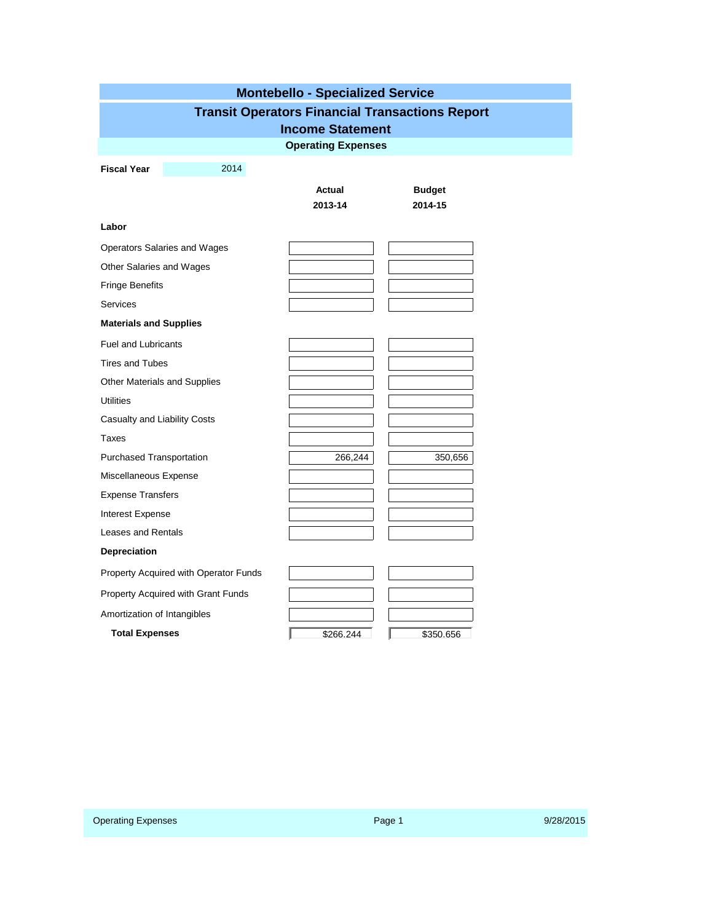| <b>Montebello - Specialized Service</b>                |      |                           |               |  |  |  |  |  |  |
|--------------------------------------------------------|------|---------------------------|---------------|--|--|--|--|--|--|
| <b>Transit Operators Financial Transactions Report</b> |      |                           |               |  |  |  |  |  |  |
| <b>Income Statement</b>                                |      |                           |               |  |  |  |  |  |  |
|                                                        |      | <b>Operating Expenses</b> |               |  |  |  |  |  |  |
| <b>Fiscal Year</b>                                     | 2014 |                           |               |  |  |  |  |  |  |
|                                                        |      | Actual                    | <b>Budget</b> |  |  |  |  |  |  |
|                                                        |      | 2013-14                   | 2014-15       |  |  |  |  |  |  |
| Labor                                                  |      |                           |               |  |  |  |  |  |  |
| Operators Salaries and Wages                           |      |                           |               |  |  |  |  |  |  |
| Other Salaries and Wages                               |      |                           |               |  |  |  |  |  |  |
| <b>Fringe Benefits</b>                                 |      |                           |               |  |  |  |  |  |  |
| <b>Services</b>                                        |      |                           |               |  |  |  |  |  |  |
| <b>Materials and Supplies</b>                          |      |                           |               |  |  |  |  |  |  |
| <b>Fuel and Lubricants</b>                             |      |                           |               |  |  |  |  |  |  |
| <b>Tires and Tubes</b>                                 |      |                           |               |  |  |  |  |  |  |
| Other Materials and Supplies                           |      |                           |               |  |  |  |  |  |  |
| <b>Utilities</b>                                       |      |                           |               |  |  |  |  |  |  |
| Casualty and Liability Costs                           |      |                           |               |  |  |  |  |  |  |
| Taxes                                                  |      |                           |               |  |  |  |  |  |  |
| Purchased Transportation                               |      | 266,244                   | 350,656       |  |  |  |  |  |  |
| Miscellaneous Expense                                  |      |                           |               |  |  |  |  |  |  |
| <b>Expense Transfers</b>                               |      |                           |               |  |  |  |  |  |  |
| Interest Expense                                       |      |                           |               |  |  |  |  |  |  |
| Leases and Rentals                                     |      |                           |               |  |  |  |  |  |  |
| Depreciation                                           |      |                           |               |  |  |  |  |  |  |
| Property Acquired with Operator Funds                  |      |                           |               |  |  |  |  |  |  |
| Property Acquired with Grant Funds                     |      |                           |               |  |  |  |  |  |  |
| Amortization of Intangibles                            |      |                           |               |  |  |  |  |  |  |
| <b>Total Expenses</b>                                  |      | \$266.244                 | \$350.656     |  |  |  |  |  |  |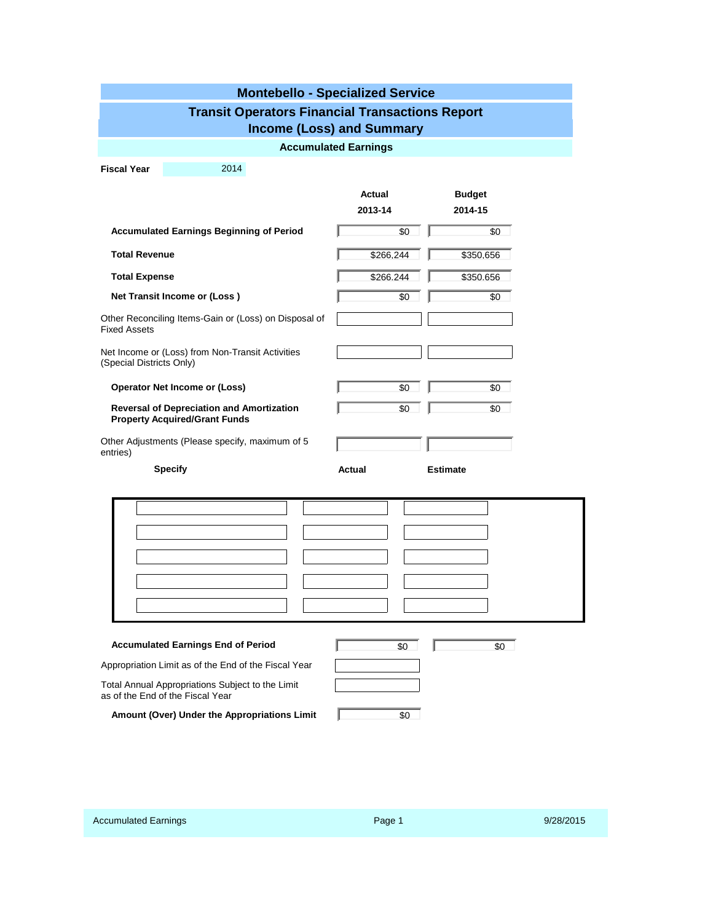| <b>Montebello - Specialized Service</b>                                                  |               |                 |  |  |  |  |  |  |  |
|------------------------------------------------------------------------------------------|---------------|-----------------|--|--|--|--|--|--|--|
| <b>Transit Operators Financial Transactions Report</b>                                   |               |                 |  |  |  |  |  |  |  |
| <b>Income (Loss) and Summary</b>                                                         |               |                 |  |  |  |  |  |  |  |
| <b>Accumulated Earnings</b>                                                              |               |                 |  |  |  |  |  |  |  |
| <b>Fiscal Year</b><br>2014                                                               |               |                 |  |  |  |  |  |  |  |
|                                                                                          | Actual        | <b>Budget</b>   |  |  |  |  |  |  |  |
|                                                                                          | 2013-14       | 2014-15         |  |  |  |  |  |  |  |
| <b>Accumulated Earnings Beginning of Period</b>                                          | \$0           | \$0             |  |  |  |  |  |  |  |
| <b>Total Revenue</b>                                                                     | \$266.244     | \$350.656       |  |  |  |  |  |  |  |
| <b>Total Expense</b>                                                                     | \$266.244     | \$350.656       |  |  |  |  |  |  |  |
| Net Transit Income or (Loss)                                                             | \$0           | \$0             |  |  |  |  |  |  |  |
| Other Reconciling Items-Gain or (Loss) on Disposal of<br><b>Fixed Assets</b>             |               |                 |  |  |  |  |  |  |  |
| Net Income or (Loss) from Non-Transit Activities<br>(Special Districts Only)             |               |                 |  |  |  |  |  |  |  |
| <b>Operator Net Income or (Loss)</b>                                                     | \$0           | \$0             |  |  |  |  |  |  |  |
| <b>Reversal of Depreciation and Amortization</b><br><b>Property Acquired/Grant Funds</b> | \$0           | \$0             |  |  |  |  |  |  |  |
| Other Adjustments (Please specify, maximum of 5<br>entries)                              |               |                 |  |  |  |  |  |  |  |
| <b>Specify</b>                                                                           | <b>Actual</b> | <b>Estimate</b> |  |  |  |  |  |  |  |
|                                                                                          |               |                 |  |  |  |  |  |  |  |
|                                                                                          |               |                 |  |  |  |  |  |  |  |
|                                                                                          |               |                 |  |  |  |  |  |  |  |
|                                                                                          |               |                 |  |  |  |  |  |  |  |
|                                                                                          |               |                 |  |  |  |  |  |  |  |
|                                                                                          |               |                 |  |  |  |  |  |  |  |
|                                                                                          |               |                 |  |  |  |  |  |  |  |
| <b>Accumulated Earnings End of Period</b>                                                | \$0           | \$0             |  |  |  |  |  |  |  |
| Appropriation Limit as of the End of the Fiscal Year                                     |               |                 |  |  |  |  |  |  |  |
| Total Annual Appropriations Subject to the Limit<br>as of the End of the Fiscal Year     |               |                 |  |  |  |  |  |  |  |
| Amount (Over) Under the Appropriations Limit                                             | \$0           |                 |  |  |  |  |  |  |  |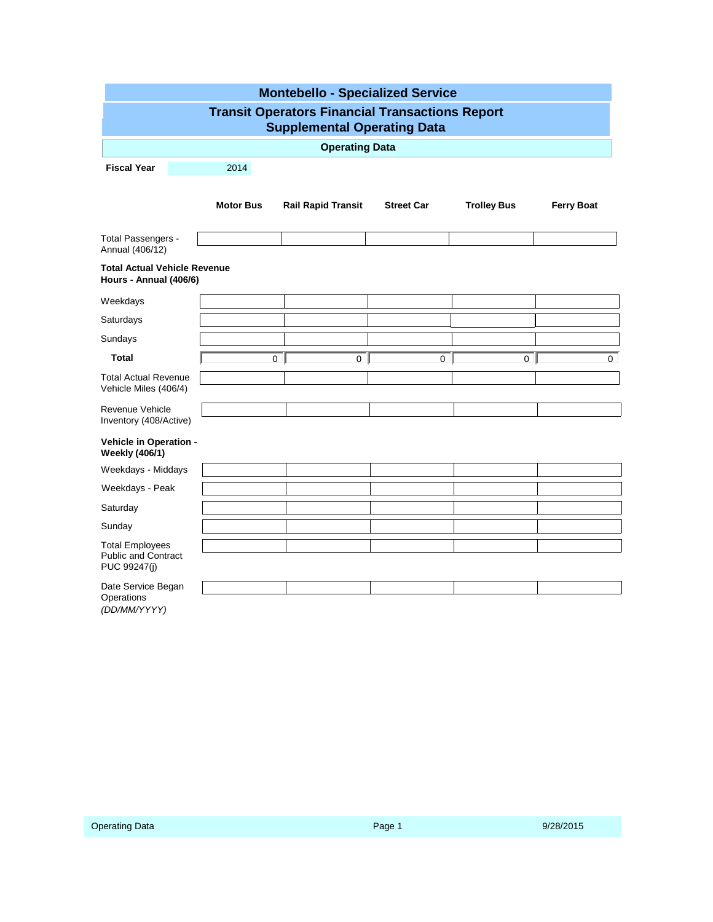|                                                                                                               | <b>Montebello - Specialized Service</b> |                |                |                |                |          |  |  |  |
|---------------------------------------------------------------------------------------------------------------|-----------------------------------------|----------------|----------------|----------------|----------------|----------|--|--|--|
| <b>Transit Operators Financial Transactions Report</b><br><b>Supplemental Operating Data</b>                  |                                         |                |                |                |                |          |  |  |  |
| <b>Operating Data</b>                                                                                         |                                         |                |                |                |                |          |  |  |  |
| <b>Fiscal Year</b>                                                                                            |                                         | 2014           |                |                |                |          |  |  |  |
| <b>Rail Rapid Transit</b><br><b>Street Car</b><br><b>Trolley Bus</b><br><b>Motor Bus</b><br><b>Ferry Boat</b> |                                         |                |                |                |                |          |  |  |  |
| Total Passengers -<br>Annual (406/12)                                                                         |                                         |                |                |                |                |          |  |  |  |
| <b>Total Actual Vehicle Revenue</b><br>Hours - Annual (406/6)                                                 |                                         |                |                |                |                |          |  |  |  |
| Weekdays                                                                                                      |                                         |                |                |                |                |          |  |  |  |
| Saturdays                                                                                                     |                                         |                |                |                |                |          |  |  |  |
| Sundays                                                                                                       |                                         |                |                |                |                |          |  |  |  |
| Total                                                                                                         |                                         | $\overline{0}$ | $\overline{0}$ | 0 <sup>1</sup> | 0 <sup>1</sup> | $\Omega$ |  |  |  |
| <b>Total Actual Revenue</b><br>Vehicle Miles (406/4)                                                          |                                         |                |                |                |                |          |  |  |  |
| Revenue Vehicle<br>Inventory (408/Active)                                                                     |                                         |                |                |                |                |          |  |  |  |
| Vehicle in Operation -<br><b>Weekly (406/1)</b>                                                               |                                         |                |                |                |                |          |  |  |  |
| Weekdays - Middays                                                                                            |                                         |                |                |                |                |          |  |  |  |
| Weekdays - Peak                                                                                               |                                         |                |                |                |                |          |  |  |  |
| Saturday                                                                                                      |                                         |                |                |                |                |          |  |  |  |
| Sunday                                                                                                        |                                         |                |                |                |                |          |  |  |  |
| <b>Total Employees</b><br><b>Public and Contract</b><br>PUC 99247(j)                                          |                                         |                |                |                |                |          |  |  |  |
| Date Service Began                                                                                            |                                         |                |                |                |                |          |  |  |  |
| Operations<br>(DD/MM/YYYY)                                                                                    |                                         |                |                |                |                |          |  |  |  |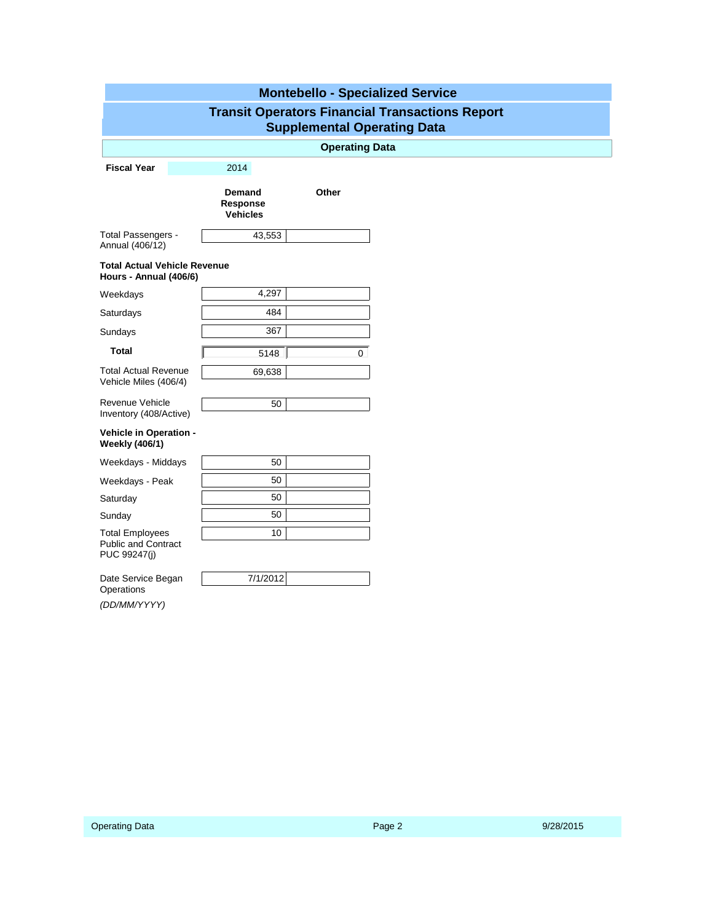| <b>Montebello - Specialized Service</b>                                                      |                                       |          |  |  |  |  |  |  |
|----------------------------------------------------------------------------------------------|---------------------------------------|----------|--|--|--|--|--|--|
| <b>Transit Operators Financial Transactions Report</b><br><b>Supplemental Operating Data</b> |                                       |          |  |  |  |  |  |  |
|                                                                                              | <b>Operating Data</b>                 |          |  |  |  |  |  |  |
| <b>Fiscal Year</b>                                                                           | 2014                                  |          |  |  |  |  |  |  |
|                                                                                              | Demand<br>Response<br><b>Vehicles</b> | Other    |  |  |  |  |  |  |
| Total Passengers -<br>Annual (406/12)                                                        | 43,553                                |          |  |  |  |  |  |  |
| <b>Total Actual Vehicle Revenue</b><br>Hours - Annual (406/6)                                |                                       |          |  |  |  |  |  |  |
| Weekdays                                                                                     | 4,297                                 |          |  |  |  |  |  |  |
| Saturdays                                                                                    | 484                                   |          |  |  |  |  |  |  |
| Sundays                                                                                      | 367                                   |          |  |  |  |  |  |  |
| <b>Total</b>                                                                                 | 5148                                  | $\Omega$ |  |  |  |  |  |  |
| <b>Total Actual Revenue</b><br>Vehicle Miles (406/4)                                         | 69,638                                |          |  |  |  |  |  |  |
| Revenue Vehicle<br>Inventory (408/Active)                                                    | 50                                    |          |  |  |  |  |  |  |
| Vehicle in Operation -<br><b>Weekly (406/1)</b>                                              |                                       |          |  |  |  |  |  |  |
| Weekdays - Middays                                                                           | 50                                    |          |  |  |  |  |  |  |
| Weekdays - Peak                                                                              | 50                                    |          |  |  |  |  |  |  |
| Saturday                                                                                     | 50                                    |          |  |  |  |  |  |  |
| Sunday                                                                                       | 50                                    |          |  |  |  |  |  |  |
| <b>Total Employees</b><br><b>Public and Contract</b><br>PUC 99247(j)                         | 10                                    |          |  |  |  |  |  |  |
| Date Service Began<br>Operations                                                             | 7/1/2012                              |          |  |  |  |  |  |  |
| (DD/MM/YYYY)                                                                                 |                                       |          |  |  |  |  |  |  |